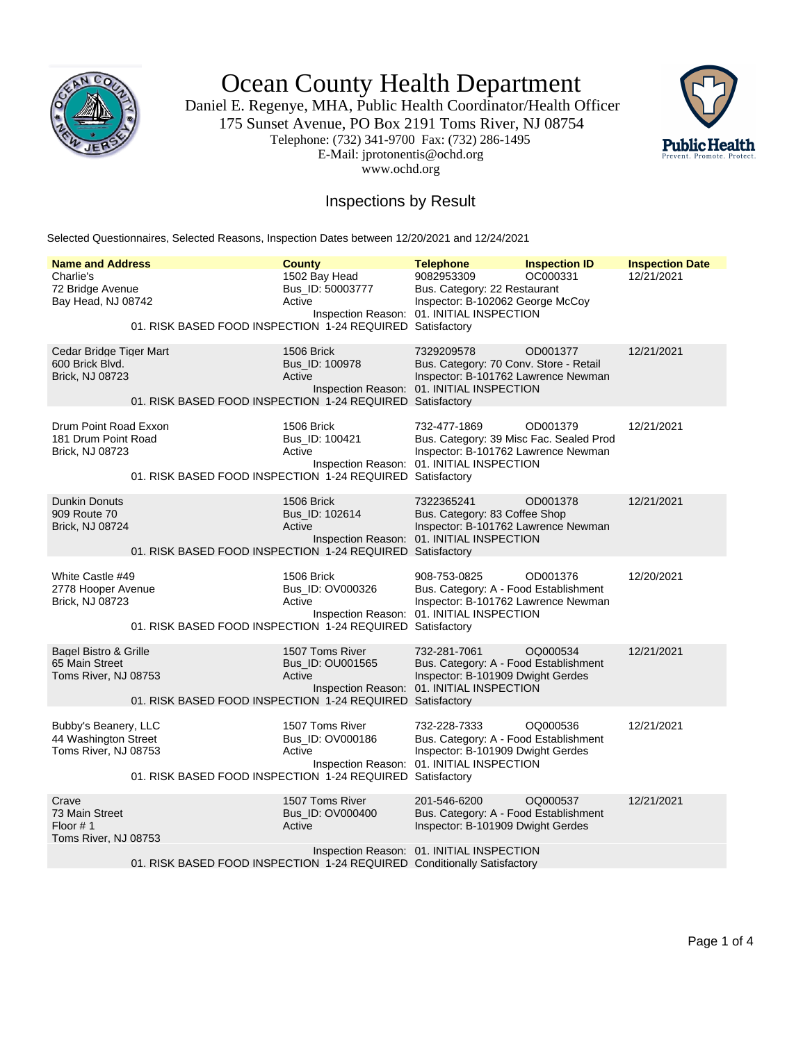

Ocean County Health Department

Daniel E. Regenye, MHA, Public Health Coordinator/Health Officer 175 Sunset Avenue, PO Box 2191 Toms River, NJ 08754 Telephone: (732) 341-9700 Fax: (732) 286-1495 E-Mail: jprotonentis@ochd.org www.ochd.org



## Inspections by Result

Selected Questionnaires, Selected Reasons, Inspection Dates between 12/20/2021 and 12/24/2021

| <b>Name and Address</b>                                              |                                                                         | <b>County</b>                                 | <b>Telephone</b>                                                                                                                            | <b>Inspection ID</b> | <b>Inspection Date</b> |
|----------------------------------------------------------------------|-------------------------------------------------------------------------|-----------------------------------------------|---------------------------------------------------------------------------------------------------------------------------------------------|----------------------|------------------------|
| Charlie's<br>72 Bridge Avenue<br>Bay Head, NJ 08742                  | 01. RISK BASED FOOD INSPECTION 1-24 REQUIRED Satisfactory               | 1502 Bay Head<br>Bus_ID: 50003777<br>Active   | 9082953309<br>Bus. Category: 22 Restaurant<br>Inspector: B-102062 George McCoy<br>Inspection Reason: 01. INITIAL INSPECTION                 | OC000331             | 12/21/2021             |
| Cedar Bridge Tiger Mart<br>600 Brick Blvd.<br>Brick, NJ 08723        | 01. RISK BASED FOOD INSPECTION 1-24 REQUIRED Satisfactory               | 1506 Brick<br>Bus_ID: 100978<br>Active        | 7329209578<br>Bus. Category: 70 Conv. Store - Retail<br>Inspector: B-101762 Lawrence Newman<br>Inspection Reason: 01. INITIAL INSPECTION    | OD001377             | 12/21/2021             |
| Drum Point Road Exxon<br>181 Drum Point Road<br>Brick, NJ 08723      | 01. RISK BASED FOOD INSPECTION 1-24 REQUIRED Satisfactory               | 1506 Brick<br>Bus_ID: 100421<br>Active        | 732-477-1869<br>Bus. Category: 39 Misc Fac. Sealed Prod<br>Inspector: B-101762 Lawrence Newman<br>Inspection Reason: 01. INITIAL INSPECTION | OD001379             | 12/21/2021             |
| <b>Dunkin Donuts</b><br>909 Route 70<br><b>Brick, NJ 08724</b>       | 01. RISK BASED FOOD INSPECTION 1-24 REQUIRED Satisfactory               | 1506 Brick<br>Bus_ID: 102614<br>Active        | 7322365241<br>Bus. Category: 83 Coffee Shop<br>Inspector: B-101762 Lawrence Newman<br>Inspection Reason: 01. INITIAL INSPECTION             | OD001378             | 12/21/2021             |
| White Castle #49<br>2778 Hooper Avenue<br>Brick, NJ 08723            | 01. RISK BASED FOOD INSPECTION 1-24 REQUIRED Satisfactory               | 1506 Brick<br>Bus_ID: OV000326<br>Active      | 908-753-0825<br>Bus. Category: A - Food Establishment<br>Inspector: B-101762 Lawrence Newman<br>Inspection Reason: 01. INITIAL INSPECTION   | OD001376             | 12/20/2021             |
| Bagel Bistro & Grille<br>65 Main Street<br>Toms River, NJ 08753      | 01. RISK BASED FOOD INSPECTION 1-24 REQUIRED Satisfactory               | 1507 Toms River<br>Bus_ID: OU001565<br>Active | 732-281-7061<br>Bus. Category: A - Food Establishment<br>Inspector: B-101909 Dwight Gerdes<br>Inspection Reason: 01. INITIAL INSPECTION     | OQ000534             | 12/21/2021             |
| Bubby's Beanery, LLC<br>44 Washington Street<br>Toms River, NJ 08753 | 01. RISK BASED FOOD INSPECTION 1-24 REQUIRED Satisfactory               | 1507 Toms River<br>Bus ID: OV000186<br>Active | 732-228-7333<br>Bus. Category: A - Food Establishment<br>Inspector: B-101909 Dwight Gerdes<br>Inspection Reason: 01. INITIAL INSPECTION     | OQ000536             | 12/21/2021             |
| Crave<br>73 Main Street<br>Floor $# 1$<br>Toms River, NJ 08753       | 01. RISK BASED FOOD INSPECTION 1-24 REQUIRED Conditionally Satisfactory | 1507 Toms River<br>Bus_ID: OV000400<br>Active | 201-546-6200<br>Bus. Category: A - Food Establishment<br>Inspector: B-101909 Dwight Gerdes<br>Inspection Reason: 01. INITIAL INSPECTION     | OQ000537             | 12/21/2021             |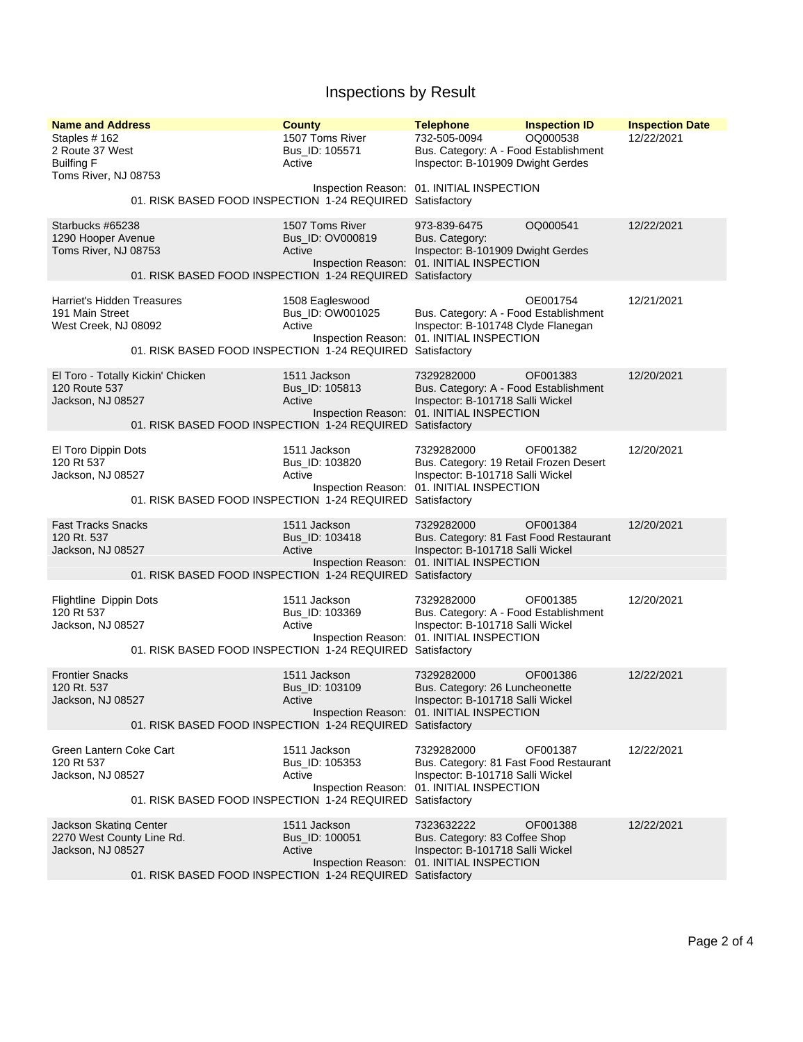## Inspections by Result

| <b>Name and Address</b><br>Staples #162<br>2 Route 37 West<br><b>Builfing F</b><br>Toms River, NJ 08753 |                                                           | <b>County</b><br>1507 Toms River<br>Bus ID: 105571<br>Active | <b>Telephone</b><br>732-505-0094<br>Bus. Category: A - Food Establishment<br>Inspector: B-101909 Dwight Gerdes<br>Inspection Reason: 01. INITIAL INSPECTION | <b>Inspection ID</b><br>OQ000538 | <b>Inspection Date</b><br>12/22/2021 |
|---------------------------------------------------------------------------------------------------------|-----------------------------------------------------------|--------------------------------------------------------------|-------------------------------------------------------------------------------------------------------------------------------------------------------------|----------------------------------|--------------------------------------|
|                                                                                                         | 01. RISK BASED FOOD INSPECTION 1-24 REQUIRED Satisfactory |                                                              |                                                                                                                                                             |                                  |                                      |
| Starbucks #65238<br>1290 Hooper Avenue<br>Toms River, NJ 08753                                          | 01. RISK BASED FOOD INSPECTION 1-24 REQUIRED Satisfactory | 1507 Toms River<br>Bus_ID: OV000819<br>Active                | 973-839-6475<br>Bus. Category:<br>Inspector: B-101909 Dwight Gerdes<br>Inspection Reason: 01. INITIAL INSPECTION                                            | OQ000541                         | 12/22/2021                           |
| Harriet's Hidden Treasures<br>191 Main Street<br>West Creek, NJ 08092                                   | 01. RISK BASED FOOD INSPECTION 1-24 REQUIRED Satisfactory | 1508 Eagleswood<br>Bus_ID: OW001025<br>Active                | Bus. Category: A - Food Establishment<br>Inspector: B-101748 Clyde Flanegan<br>Inspection Reason: 01. INITIAL INSPECTION                                    | OE001754                         | 12/21/2021                           |
| El Toro - Totally Kickin' Chicken<br>120 Route 537<br>Jackson, NJ 08527                                 | 01. RISK BASED FOOD INSPECTION 1-24 REQUIRED Satisfactory | 1511 Jackson<br>Bus_ID: 105813<br>Active                     | 7329282000<br>Bus. Category: A - Food Establishment<br>Inspector: B-101718 Salli Wickel<br>Inspection Reason: 01. INITIAL INSPECTION                        | OF001383                         | 12/20/2021                           |
| El Toro Dippin Dots<br>120 Rt 537<br>Jackson, NJ 08527                                                  | 01. RISK BASED FOOD INSPECTION 1-24 REQUIRED Satisfactory | 1511 Jackson<br>Bus_ID: 103820<br>Active                     | 7329282000<br>Bus. Category: 19 Retail Frozen Desert<br>Inspector: B-101718 Salli Wickel<br>Inspection Reason: 01. INITIAL INSPECTION                       | OF001382                         | 12/20/2021                           |
| <b>Fast Tracks Snacks</b><br>120 Rt. 537<br>Jackson, NJ 08527                                           | 01. RISK BASED FOOD INSPECTION 1-24 REQUIRED Satisfactory | 1511 Jackson<br>Bus_ID: 103418<br>Active                     | 7329282000<br>Bus. Category: 81 Fast Food Restaurant<br>Inspector: B-101718 Salli Wickel<br>Inspection Reason: 01. INITIAL INSPECTION                       | OF001384                         | 12/20/2021                           |
| Flightline Dippin Dots<br>120 Rt 537<br>Jackson, NJ 08527                                               | 01. RISK BASED FOOD INSPECTION 1-24 REQUIRED Satisfactory | 1511 Jackson<br>Bus_ID: 103369<br>Active                     | 7329282000<br>Bus. Category: A - Food Establishment<br>Inspector: B-101718 Salli Wickel<br>Inspection Reason: 01. INITIAL INSPECTION                        | OF001385                         | 12/20/2021                           |
| <b>Frontier Snacks</b><br>120 Rt. 537<br>Jackson, NJ 08527                                              | 01. RISK BASED FOOD INSPECTION 1-24 REQUIRED Satisfactory | 1511 Jackson<br>Bus_ID: 103109<br>Active                     | 7329282000<br>Bus. Category: 26 Luncheonette<br>Inspector: B-101718 Salli Wickel<br>Inspection Reason: 01. INITIAL INSPECTION                               | OF001386                         | 12/22/2021                           |
| Green Lantern Coke Cart<br>120 Rt 537<br>Jackson, NJ 08527                                              | 01. RISK BASED FOOD INSPECTION 1-24 REQUIRED Satisfactory | 1511 Jackson<br>Bus_ID: 105353<br>Active                     | 7329282000<br>Bus. Category: 81 Fast Food Restaurant<br>Inspector: B-101718 Salli Wickel<br>Inspection Reason: 01. INITIAL INSPECTION                       | OF001387                         | 12/22/2021                           |
| Jackson Skating Center<br>2270 West County Line Rd.<br>Jackson, NJ 08527                                | 01. RISK BASED FOOD INSPECTION 1-24 REQUIRED Satisfactory | 1511 Jackson<br>Bus_ID: 100051<br>Active                     | 7323632222<br>Bus. Category: 83 Coffee Shop<br>Inspector: B-101718 Salli Wickel<br>Inspection Reason: 01. INITIAL INSPECTION                                | OF001388                         | 12/22/2021                           |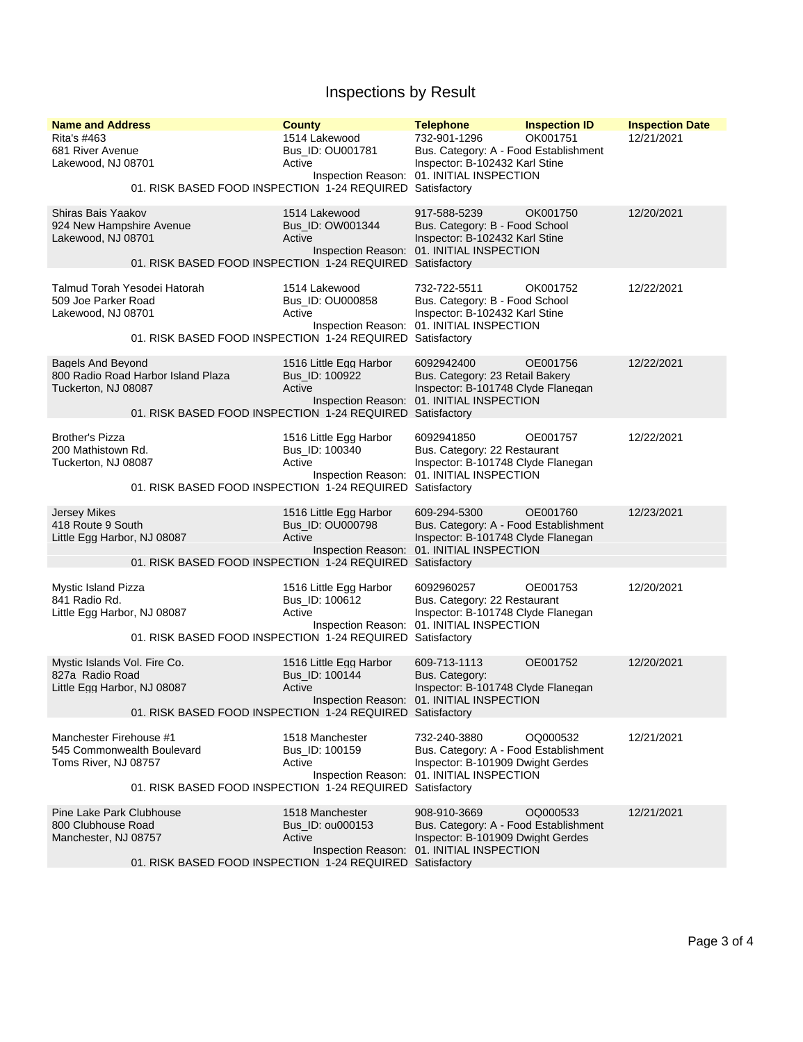## Inspections by Result

| <b>Name and Address</b><br>Rita's #463<br>681 River Avenue<br>Lakewood, NJ 08701      | <b>County</b><br>1514 Lakewood<br>Bus_ID: OU001781<br>Active<br>01. RISK BASED FOOD INSPECTION 1-24 REQUIRED Satisfactory | <b>Telephone</b><br>732-901-1296<br>Bus. Category: A - Food Establishment<br>Inspector: B-102432 Karl Stine<br>Inspection Reason: 01. INITIAL INSPECTION | <b>Inspection ID</b><br>OK001751 | <b>Inspection Date</b><br>12/21/2021 |
|---------------------------------------------------------------------------------------|---------------------------------------------------------------------------------------------------------------------------|----------------------------------------------------------------------------------------------------------------------------------------------------------|----------------------------------|--------------------------------------|
| Shiras Bais Yaakov<br>924 New Hampshire Avenue<br>Lakewood, NJ 08701                  | 1514 Lakewood<br>Bus_ID: OW001344<br>Active<br>01. RISK BASED FOOD INSPECTION 1-24 REQUIRED Satisfactory                  | 917-588-5239<br>Bus. Category: B - Food School<br>Inspector: B-102432 Karl Stine<br>Inspection Reason: 01. INITIAL INSPECTION                            | OK001750                         | 12/20/2021                           |
| Talmud Torah Yesodei Hatorah<br>509 Joe Parker Road<br>Lakewood, NJ 08701             | 1514 Lakewood<br>Bus_ID: OU000858<br>Active<br>01. RISK BASED FOOD INSPECTION 1-24 REQUIRED Satisfactory                  | 732-722-5511<br>Bus. Category: B - Food School<br>Inspector: B-102432 Karl Stine<br>Inspection Reason: 01. INITIAL INSPECTION                            | OK001752                         | 12/22/2021                           |
| <b>Bagels And Beyond</b><br>800 Radio Road Harbor Island Plaza<br>Tuckerton, NJ 08087 | 1516 Little Egg Harbor<br>Bus_ID: 100922<br>Active<br>01. RISK BASED FOOD INSPECTION 1-24 REQUIRED Satisfactory           | 6092942400<br>Bus. Category: 23 Retail Bakery<br>Inspector: B-101748 Clyde Flanegan<br>Inspection Reason: 01. INITIAL INSPECTION                         | OE001756                         | 12/22/2021                           |
| <b>Brother's Pizza</b><br>200 Mathistown Rd.<br>Tuckerton, NJ 08087                   | 1516 Little Egg Harbor<br>Bus_ID: 100340<br>Active<br>01. RISK BASED FOOD INSPECTION 1-24 REQUIRED Satisfactory           | 6092941850<br>Bus. Category: 22 Restaurant<br>Inspector: B-101748 Clyde Flanegan<br>Inspection Reason: 01. INITIAL INSPECTION                            | OE001757                         | 12/22/2021                           |
| <b>Jersey Mikes</b><br>418 Route 9 South<br>Little Egg Harbor, NJ 08087               | 1516 Little Egg Harbor<br>Bus_ID: OU000798<br>Active<br>01. RISK BASED FOOD INSPECTION 1-24 REQUIRED Satisfactory         | 609-294-5300<br>Bus. Category: A - Food Establishment<br>Inspector: B-101748 Clyde Flanegan<br>Inspection Reason: 01. INITIAL INSPECTION                 | OE001760                         | 12/23/2021                           |
| Mystic Island Pizza<br>841 Radio Rd.<br>Little Egg Harbor, NJ 08087                   | 1516 Little Egg Harbor<br>Bus_ID: 100612<br>Active<br>01. RISK BASED FOOD INSPECTION 1-24 REQUIRED Satisfactory           | 6092960257<br>Bus. Category: 22 Restaurant<br>Inspector: B-101748 Clyde Flanegan<br>Inspection Reason: 01. INITIAL INSPECTION                            | OE001753                         | 12/20/2021                           |
| Mystic Islands Vol. Fire Co.<br>827a Radio Road<br>Little Egg Harbor, NJ 08087        | 1516 Little Egg Harbor<br>Bus_ID: 100144<br>Active<br>01. RISK BASED FOOD INSPECTION 1-24 REQUIRED Satisfactory           | 609-713-1113<br>Bus. Category:<br>Inspector: B-101748 Clyde Flanegan<br>Inspection Reason: 01. INITIAL INSPECTION                                        | OE001752                         | 12/20/2021                           |
| Manchester Firehouse #1<br>545 Commonwealth Boulevard<br>Toms River, NJ 08757         | 1518 Manchester<br>Bus ID: 100159<br>Active<br>01. RISK BASED FOOD INSPECTION 1-24 REQUIRED Satisfactory                  | 732-240-3880<br>Bus. Category: A - Food Establishment<br>Inspector: B-101909 Dwight Gerdes<br>Inspection Reason: 01. INITIAL INSPECTION                  | OQ000532                         | 12/21/2021                           |
| Pine Lake Park Clubhouse<br>800 Clubhouse Road<br>Manchester, NJ 08757                | 1518 Manchester<br>Bus ID: 00000153<br>Active<br>01. RISK BASED FOOD INSPECTION 1-24 REQUIRED Satisfactory                | 908-910-3669<br>Bus. Category: A - Food Establishment<br>Inspector: B-101909 Dwight Gerdes<br>Inspection Reason: 01. INITIAL INSPECTION                  | OQ000533                         | 12/21/2021                           |